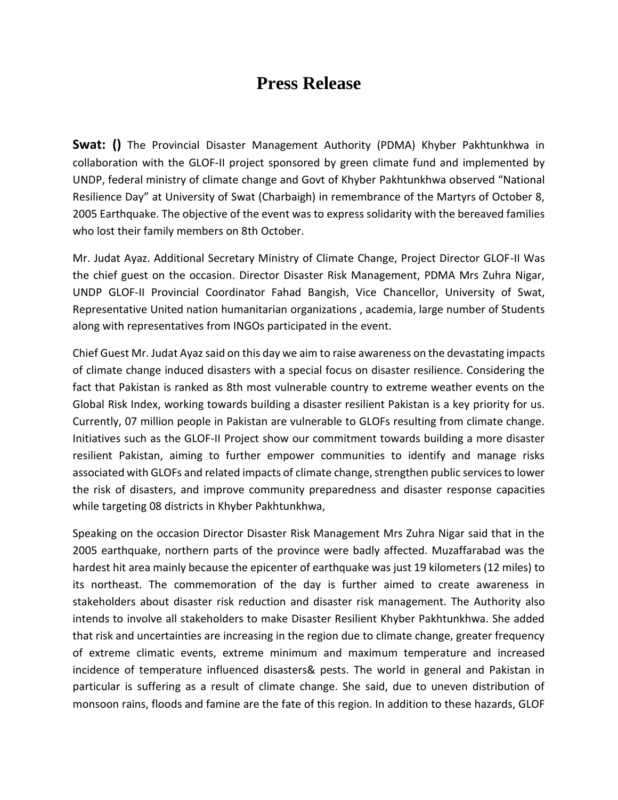## **Press Release**

**Swat: ()** The Provincial Disaster Management Authority (PDMA) Khyber Pakhtunkhwa in collaboration with the GLOF-II project sponsored by green climate fund and implemented by UNDP, federal ministry of climate change and Govt of Khyber Pakhtunkhwa observed "National Resilience Day" at University of Swat (Charbaigh) in remembrance of the Martyrs of October 8, 2005 Earthquake. The objective of the event was to express solidarity with the bereaved families who lost their family members on 8th October.

Mr. Judat Ayaz. Additional Secretary Ministry of Climate Change, Project Director GLOF-II Was the chief guest on the occasion. Director Disaster Risk Management, PDMA Mrs Zuhra Nigar, UNDP GLOF-II Provincial Coordinator Fahad Bangish, Vice Chancellor, University of Swat, Representative United nation humanitarian organizations , academia, large number of Students along with representatives from INGOs participated in the event.

Chief Guest Mr. Judat Ayaz said on this day we aim to raise awareness on the devastating impacts of climate change induced disasters with a special focus on disaster resilience. Considering the fact that Pakistan is ranked as 8th most vulnerable country to extreme weather events on the Global Risk Index, working towards building a disaster resilient Pakistan is a key priority for us. Currently, 07 million people in Pakistan are vulnerable to GLOFs resulting from climate change. Initiatives such as the GLOF-II Project show our commitment towards building a more disaster resilient Pakistan, aiming to further empower communities to identify and manage risks associated with GLOFs and related impacts of climate change, strengthen public services to lower the risk of disasters, and improve community preparedness and disaster response capacities while targeting 08 districts in Khyber Pakhtunkhwa,

Speaking on the occasion Director Disaster Risk Management Mrs Zuhra Nigar said that in the 2005 earthquake, northern parts of the province were badly affected. Muzaffarabad was the hardest hit area mainly because the epicenter of earthquake was just 19 kilometers (12 miles) to its northeast. The commemoration of the day is further aimed to create awareness in stakeholders about disaster risk reduction and disaster risk management. The Authority also intends to involve all stakeholders to make Disaster Resilient Khyber Pakhtunkhwa. She added that risk and uncertainties are increasing in the region due to climate change, greater frequency of extreme climatic events, extreme minimum and maximum temperature and increased incidence of temperature influenced disasters& pests. The world in general and Pakistan in particular is suffering as a result of climate change. She said, due to uneven distribution of monsoon rains, floods and famine are the fate of this region. In addition to these hazards, GLOF